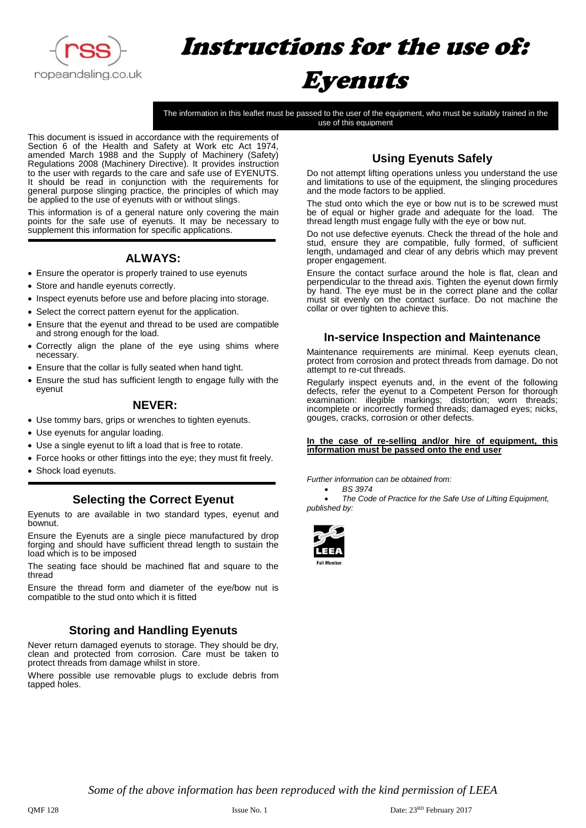

# Instructions for the use of: Eyenuts

The information in this leaflet must be passed to the user of the equipment, who must be suitably trained in the use of this equipment

This document is issued in accordance with the requirements of Section 6 of the Health and Safety at Work etc Act 1974, amended March 1988 and the Supply of Machinery (Safety) Regulations 2008 (Machinery Directive). It provides instruction to the user with regards to the care and safe use of EYENUTS. It should be read in conjunction with the requirements for general purpose slinging practice, the principles of which may be applied to the use of eyenuts with or without slings.

This information is of a general nature only covering the main points for the safe use of eyenuts. It may be necessary to supplement this information for specific applications.

# **ALWAYS:**

- Ensure the operator is properly trained to use eyenuts
- Store and handle eyenuts correctly.
- Inspect eyenuts before use and before placing into storage.
- Select the correct pattern eyenut for the application.
- Ensure that the eyenut and thread to be used are compatible and strong enough for the load.
- Correctly align the plane of the eye using shims where necessary.
- Ensure that the collar is fully seated when hand tight.
- Ensure the stud has sufficient length to engage fully with the eyenut

## **NEVER:**

- Use tommy bars, grips or wrenches to tighten eyenuts.
- Use eyenuts for angular loading.
- Use a single eyenut to lift a load that is free to rotate.
- Force hooks or other fittings into the eye; they must fit freely.
- Shock load eyenuts.

## **Selecting the Correct Eyenut**

Eyenuts to are available in two standard types, eyenut and bownut.

Ensure the Eyenuts are a single piece manufactured by drop forging and should have sufficient thread length to sustain the load which is to be imposed

The seating face should be machined flat and square to the thread

Ensure the thread form and diameter of the eye/bow nut is compatible to the stud onto which it is fitted

# **Storing and Handling Eyenuts**

Never return damaged eyenuts to storage. They should be dry, clean and protected from corrosion. Care must be taken to protect threads from damage whilst in store.

Where possible use removable plugs to exclude debris from tapped holes.

# **Using Eyenuts Safely**

Do not attempt lifting operations unless you understand the use and limitations to use of the equipment, the slinging procedures and the mode factors to be applied.

The stud onto which the eye or bow nut is to be screwed must be of equal or higher grade and adequate for the load. The thread length must engage fully with the eye or bow nut.

Do not use defective eyenuts. Check the thread of the hole and stud, ensure they are compatible, fully formed, of sufficient length, undamaged and clear of any debris which may prevent proper engagement.

Ensure the contact surface around the hole is flat, clean and perpendicular to the thread axis. Tighten the eyenut down firmly by hand. The eye must be in the correct plane and the collar must sit evenly on the contact surface. Do not machine the collar or over tighten to achieve this.

## **In-service Inspection and Maintenance**

Maintenance requirements are minimal. Keep eyenuts clean, protect from corrosion and protect threads from damage. Do not attempt to re-cut threads.

Regularly inspect eyenuts and, in the event of the following defects, refer the eyenut to a Competent Person for thorough examination: illegible markings; distortion; worn threads; incomplete or incorrectly formed threads; damaged eyes; nicks, gouges, cracks, corrosion or other defects.

#### **In the case of re-selling and/or hire of equipment, this information must be passed onto the end user**

*Further information can be obtained from:*

• *BS 3974*

• *The Code of Practice for the Safe Use of Lifting Equipment, published by:*



*Some of the above information has been reproduced with the kind permission of LEEA*